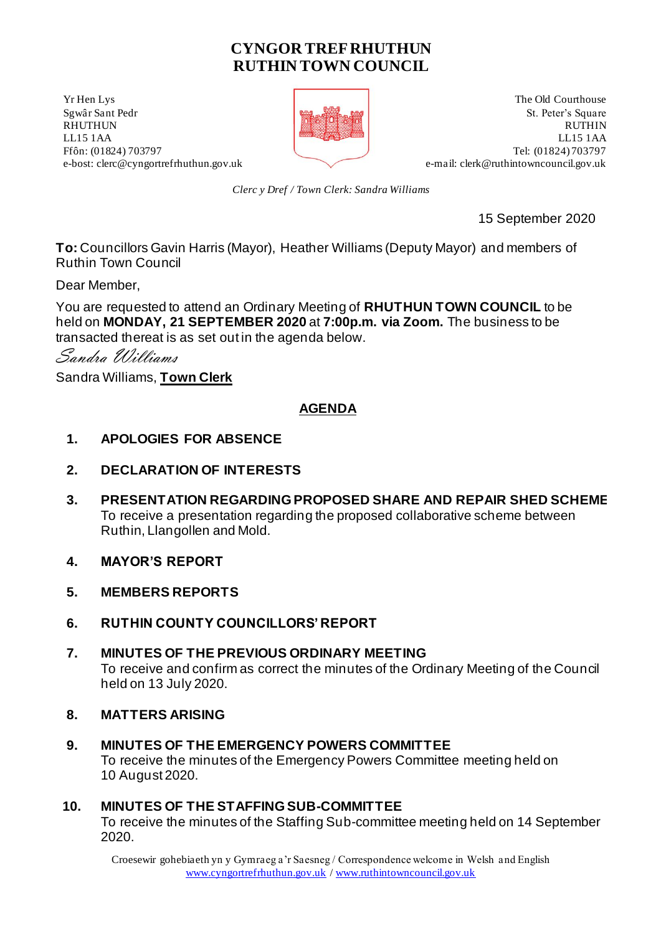# **CYNGOR TREF RHUTHUN RUTHIN TOWN COUNCIL**

**Solution** Section 2 and 2 and 2 and 2 and 2 and 2 and 2 and 2 and 2 and 2 and 2 and 2 and 2 and 2 and 2 and 2 and 2 and 2 and 2 and 2 and 2 and 2 and 2 and 2 and 2 and 2 and 2 and 2 and 2 and 2 and 2 and 2 and 2 and 2 and



Sgwâr Sant Pedr **St. Peter's Square** St. Peter's Square St. Peter's Square St. Peter's Square St. Peter's Square St. Peter's Square St. Peter's Square St. Peter's Square St. Peter's Square St. Peter's Square St. Peter's Sq RHUTHUN RUTHIN LL15 1AA LL15 1AA Ffôn: (01824) 703797<br>
e-bost: clerc@cyngortrefrhuthun.gov.uk<br>
e-mail: clerk@ruthintowncouncil.gov.uk<br>
e-mail: clerk@ruthintowncouncil.gov.uk e-mail[: clerk@ruthintowncouncil.gov.uk](mailto:clerk@ruthintowncouncil.gov.uk)

*Clerc y Dref / Town Clerk: Sandra Williams*

15 September 2020

**To:** Councillors Gavin Harris (Mayor), Heather Williams (Deputy Mayor) and members of Ruthin Town Council

Dear Member,

You are requested to attend an Ordinary Meeting of **RHUTHUN TOWN COUNCIL** to be held on **MONDAY, 21 SEPTEMBER 2020** at **7:00p.m. via Zoom.** The business to be transacted thereat is as set out in the agenda below.

Sandra Williams

Sandra Williams, **Town Clerk**

## **AGENDA**

- **1. APOLOGIES FOR ABSENCE**
- **2. DECLARATION OF INTERESTS**
- **3. PRESENTATION REGARDING PROPOSED SHARE AND REPAIR SHED SCHEME**  To receive a presentation regarding the proposed collaborative scheme between Ruthin, Llangollen and Mold.
- **4. MAYOR'S REPORT**
- **5. MEMBERS REPORTS**
- **6. RUTHIN COUNTY COUNCILLORS' REPORT**
- **7. MINUTES OF THE PREVIOUS ORDINARY MEETING** To receive and confirm as correct the minutes of the Ordinary Meeting of the Council held on 13 July 2020.
- **8. MATTERS ARISING**
- **9. MINUTES OF THE EMERGENCY POWERS COMMITTEE** To receive the minutes of the Emergency Powers Committee meeting held on 10 August 2020.

#### **10. MINUTES OF THE STAFFING SUB-COMMITTEE**

To receive the minutes of the Staffing Sub-committee meeting held on 14 September 2020.

Croesewir gohebiaeth yn y Gymraeg a'r Saesneg / Correspondence welcome in Welsh and English [www.cyngortrefrhuthun.gov.uk](http://www.cyngortrefrhuthun.gov.uk/) [/ www.ruthintowncouncil.gov.uk](http://www.ruthintowncouncil.gov.uk/)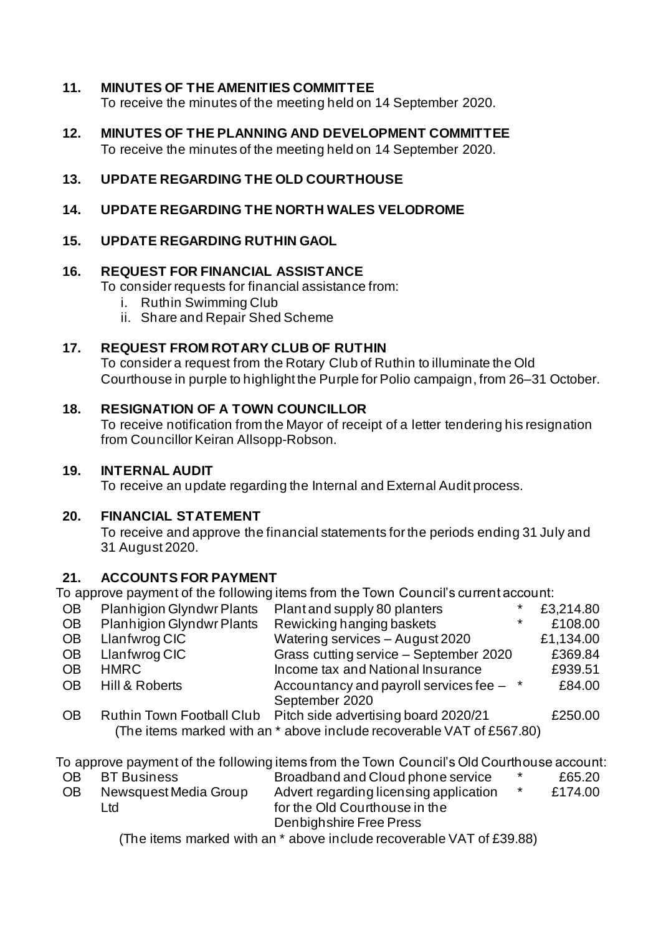### **11. MINUTES OF THE AMENITIES COMMITTEE**

To receive the minutes of the meeting held on 14 September 2020.

- **12. MINUTES OF THE PLANNING AND DEVELOPMENT COMMITTEE** To receive the minutes of the meeting held on 14 September 2020.
- **13. UPDATE REGARDING THE OLD COURTHOUSE**

#### **14. UPDATE REGARDING THE NORTH WALES VELODROME**

### **15. UPDATE REGARDING RUTHIN GAOL**

#### **16. REQUEST FOR FINANCIAL ASSISTANCE**

To consider requests for financial assistance from:

- i. Ruthin Swimming Club
- ii. Share and Repair Shed Scheme

#### **17. REQUEST FROM ROTARY CLUB OF RUTHIN**

To consider a request from the Rotary Club of Ruthin to illuminate the Old Courthouse in purple to highlight the Purple for Polio campaign, from 26–31 October.

#### **18. RESIGNATION OF A TOWN COUNCILLOR**

To receive notification from the Mayor of receipt of a letter tendering his resignation from Councillor Keiran Allsopp-Robson.

#### **19. INTERNAL AUDIT**

To receive an update regarding the Internal and External Audit process.

#### **20. FINANCIAL STATEMENT**

To receive and approve the financial statements for the periods ending 31 July and 31 August 2020.

#### **21. ACCOUNTS FOR PAYMENT**

To approve payment of the following items from the Town Council's current account:

| <b>OB</b> | <b>Planhigion Glyndwr Plants</b> | Plant and supply 80 planters                                                  | $\ast$  | £3,214.80 |
|-----------|----------------------------------|-------------------------------------------------------------------------------|---------|-----------|
| <b>OB</b> | <b>Planhigion Glyndwr Plants</b> | Rewicking hanging baskets                                                     | $\star$ | £108.00   |
| <b>OB</b> | Llanfwrog CIC                    | Watering services - August 2020                                               |         | £1,134.00 |
| <b>OB</b> | Llanfwrog CIC                    | Grass cutting service - September 2020                                        |         | £369.84   |
| <b>OB</b> | <b>HMRC</b>                      | Income tax and National Insurance                                             |         | £939.51   |
| <b>OB</b> | Hill & Roberts                   | Accountancy and payroll services fee $-$ *                                    |         | £84.00    |
|           |                                  | September 2020                                                                |         |           |
| <b>OB</b> | <b>Ruthin Town Football Club</b> | Pitch side advertising board 2020/21                                          |         | £250.00   |
|           |                                  | (The items marked with an $*$ above include recoverable $VAT$ of $FERT$ $R()$ |         |           |

(The items marked with an \* above include recoverable VAT of £567.80)

To approve payment of the following items from the Town Council's Old Courthouse account:

| <b>OB</b> | <b>BT Business</b>    | Broadband and Cloud phone service      | $\star$ | £65.20  |
|-----------|-----------------------|----------------------------------------|---------|---------|
| <b>OB</b> | Newsquest Media Group | Advert regarding licensing application |         | £174.00 |
|           | Ltd                   | for the Old Courthouse in the          |         |         |
|           |                       | Denbighshire Free Press                |         |         |
|           |                       |                                        |         |         |

(The items marked with an \* above include recoverable VAT of £39.88)